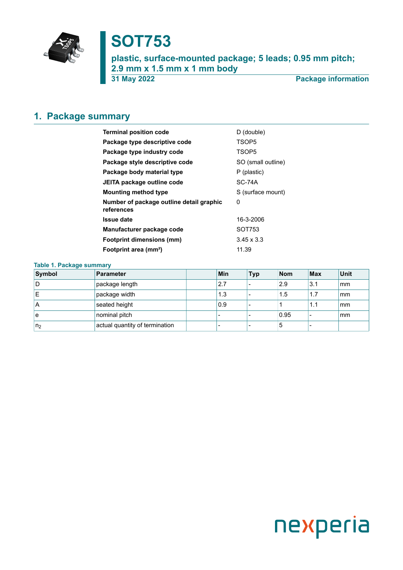

# **SOT753**

**plastic, surface-mounted package; 5 leads; 0.95 mm pitch; 2.9 mm x 1.5 mm x 1 mm body 31 May 2022 Package information**

## <span id="page-0-0"></span>**1. Package summary**

| <b>Terminal position code</b>                          | D (double)         |  |  |  |
|--------------------------------------------------------|--------------------|--|--|--|
| Package type descriptive code                          | TSOP <sub>5</sub>  |  |  |  |
| Package type industry code                             | TSOP <sub>5</sub>  |  |  |  |
| Package style descriptive code                         | SO (small outline) |  |  |  |
| Package body material type                             | P (plastic)        |  |  |  |
| JEITA package outline code                             | <b>SC-74A</b>      |  |  |  |
| <b>Mounting method type</b>                            | S (surface mount)  |  |  |  |
| Number of package outline detail graphic<br>references | 0                  |  |  |  |
| <b>Issue date</b>                                      | 16-3-2006          |  |  |  |
| Manufacturer package code                              | SOT753             |  |  |  |
| <b>Footprint dimensions (mm)</b>                       | $3.45 \times 3.3$  |  |  |  |
| Footprint area (mm <sup>2</sup> )                      | 11.39              |  |  |  |

### **Table 1. Package summary**

| Symbol         | Parameter                      | <b>Min</b> | 'Typ | <b>Nom</b> | <b>Max</b> | Unit |
|----------------|--------------------------------|------------|------|------------|------------|------|
| 1D             | package length                 | 2.7        |      | 2.9        | 3.1        | mm   |
| ΙE             | package width                  | 1.3        |      | 1.5        | 1.7        | mm   |
| ۱A             | seated height                  | 0.9        |      |            | 1.1        | mm   |
| l e            | nominal pitch                  |            |      | 0.95       |            | mm   |
| n <sub>2</sub> | actual quantity of termination |            |      | 5          |            |      |

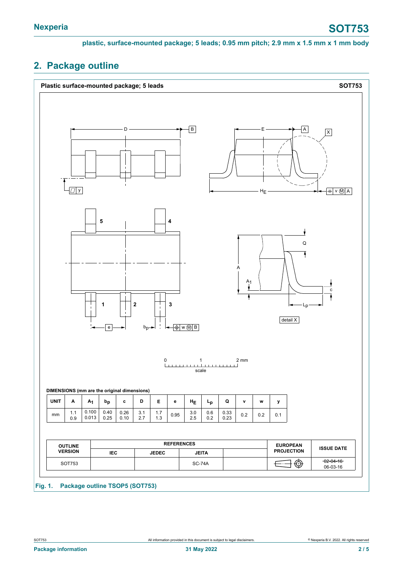**plastic, surface-mounted package; 5 leads; 0.95 mm pitch; 2.9 mm x 1.5 mm x 1 mm body**

### <span id="page-1-0"></span>**2. Package outline**

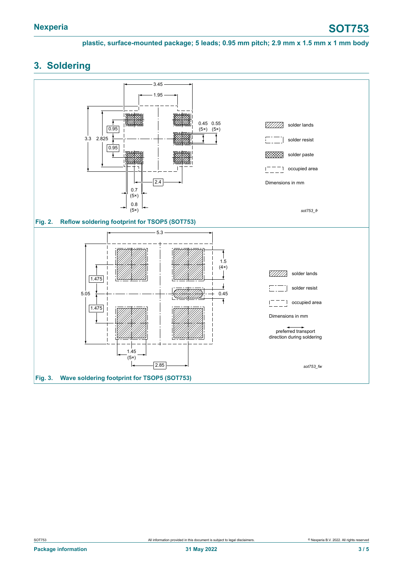**plastic, surface-mounted package; 5 leads; 0.95 mm pitch; 2.9 mm x 1.5 mm x 1 mm body**

## <span id="page-2-0"></span>**3. Soldering**

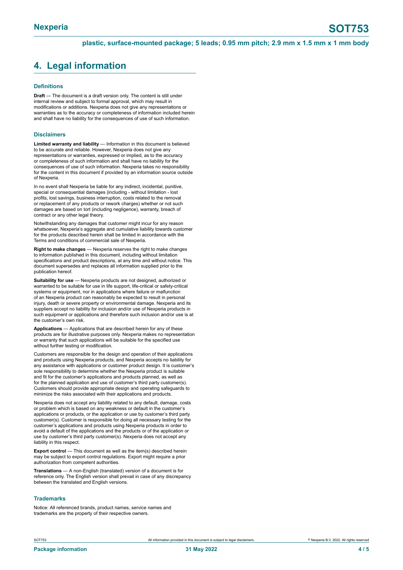### <span id="page-3-0"></span>**4. Legal information**

#### **Definitions**

**Draft** — The document is a draft version only. The content is still under internal review and subject to formal approval, which may result in modifications or additions. Nexperia does not give any representations or warranties as to the accuracy or completeness of information included herein and shall have no liability for the consequences of use of such information.

#### **Disclaimers**

**Limited warranty and liability** — Information in this document is believed to be accurate and reliable. However, Nexperia does not give any representations or warranties, expressed or implied, as to the accuracy or completeness of such information and shall have no liability for the consequences of use of such information. Nexperia takes no responsibility for the content in this document if provided by an information source outside of Nexperia.

In no event shall Nexperia be liable for any indirect, incidental, punitive, special or consequential damages (including - without limitation - lost profits, lost savings, business interruption, costs related to the removal or replacement of any products or rework charges) whether or not such damages are based on tort (including negligence), warranty, breach of contract or any other legal theory.

Notwithstanding any damages that customer might incur for any reason whatsoever, Nexperia's aggregate and cumulative liability towards customer for the products described herein shall be limited in accordance with the Terms and conditions of commercial sale of Nexperia.

**Right to make changes** — Nexperia reserves the right to make changes to information published in this document, including without limitation specifications and product descriptions, at any time and without notice. This document supersedes and replaces all information supplied prior to the publication hereof.

**Suitability for use** — Nexperia products are not designed, authorized or warranted to be suitable for use in life support, life-critical or safety-critical systems or equipment, nor in applications where failure or malfunction of an Nexperia product can reasonably be expected to result in personal injury, death or severe property or environmental damage. Nexperia and its suppliers accept no liability for inclusion and/or use of Nexperia products in such equipment or applications and therefore such inclusion and/or use is at the customer's own risk.

**Applications** — Applications that are described herein for any of these products are for illustrative purposes only. Nexperia makes no representation or warranty that such applications will be suitable for the specified use without further testing or modification.

Customers are responsible for the design and operation of their applications and products using Nexperia products, and Nexperia accepts no liability for any assistance with applications or customer product design. It is customer's sole responsibility to determine whether the Nexperia product is suitable and fit for the customer's applications and products planned, as well as for the planned application and use of customer's third party customer(s). Customers should provide appropriate design and operating safeguards to minimize the risks associated with their applications and products.

Nexperia does not accept any liability related to any default, damage, costs or problem which is based on any weakness or default in the customer's applications or products, or the application or use by customer's third party customer(s). Customer is responsible for doing all necessary testing for the customer's applications and products using Nexperia products in order to avoid a default of the applications and the products or of the application or use by customer's third party customer(s). Nexperia does not accept any liability in this respect.

**Export control** — This document as well as the item(s) described herein may be subject to export control regulations. Export might require a prior authorization from competent authorities.

**Translations** — A non-English (translated) version of a document is for reference only. The English version shall prevail in case of any discrepancy between the translated and English versions.

#### **Trademarks**

Notice: All referenced brands, product names, service names and trademarks are the property of their respective owners.